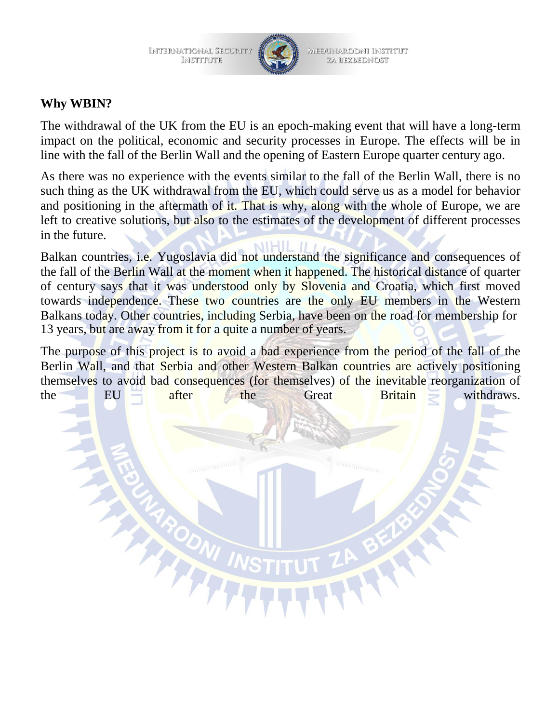



Međunarodni institut ZA BEZBEDNOST

#### **Why WBIN?**

The withdrawal of the UK from the EU is an epoch-making event that will have a long-term impact on the political, economic and security processes in Europe. The effects will be in line with the fall of the Berlin Wall and the opening of Eastern Europe quarter century ago.

As there was no experience with the events similar to the fall of the Berlin Wall, there is no such thing as the UK withdrawal from the EU, which could serve us as a model for behavior and positioning in the aftermath of it. That is why, along with the whole of Europe, we are left to creative solutions, but also to the estimates of the development of different processes in the future.

Balkan countries, i.e. Yugoslavia did not understand the significance and consequences of the fall of the Berlin Wall at the moment when it happened. The historical distance of quarter of century says that it was understood only by Slovenia and Croatia, which first moved towards independence. These two countries are the only EU members in the Western Balkans today. Other countries, including Serbia, have been on the road for membership for 13 years, but are away from it for a quite a number of years.

The purpose of this project is to avoid a bad experience from the period of the fall of the Berlin Wall, and that Serbia and other Western Balkan countries are actively positioning themselves to avoid bad consequences (for themselves) of the inevitable reorganization of the EU after the Great Britain withdraws.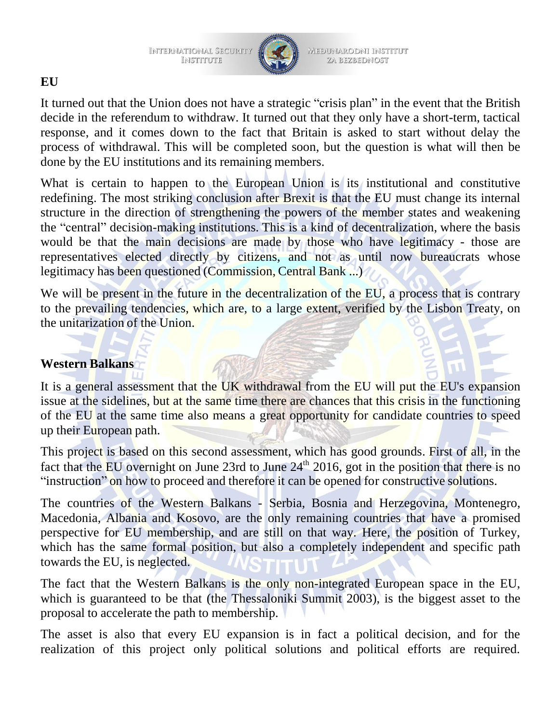INTERNATIONAL SECURITY<br>INSTITUTE



MEĐUNARODNI INSTITUT ZA BEZBEDNOST

# **EU**

It turned out that the Union does not have a strategic "crisis plan" in the event that the British decide in the referendum to withdraw. It turned out that they only have a short-term, tactical response, and it comes down to the fact that Britain is asked to start without delay the process of withdrawal. This will be completed soon, but the question is what will then be done by the EU institutions and its remaining members.

What is certain to happen to the European Union is its institutional and constitutive redefining. The most striking conclusion after Brexit is that the EU must change its internal structure in the direction of strengthening the powers of the member states and weakening the "central" decision-making institutions. This is a kind of decentralization, where the basis would be that the main decisions are made by those who have legitimacy - those are representatives elected directly by citizens, and not as until now bureaucrats whose legitimacy has been questioned (Commission, Central Bank ...)

We will be present in the future in the decentralization of the EU, a process that is contrary to the prevailing tendencies, which are, to a large extent, verified by the Lisbon Treaty, on the unitarization of the Union.

### **Western Balkans**

It is a general assessment that the UK withdrawal from the EU will put the EU's expansion issue at the sidelines, but at the same time there are chances that this crisis in the functioning of the EU at the same time also means a great opportunity for candidate countries to speed up their European path.

This project is based on this second assessment, which has good grounds. First of all, in the fact that the EU overnight on June 23rd to June 24<sup>th</sup> 2016, got in the position that there is no "instruction" on how to proceed and therefore it can be opened for constructive solutions.

The countries of the Western Balkans - Serbia, Bosnia and Herzegovina, Montenegro, Macedonia, Albania and Kosovo, are the only remaining countries that have a promised perspective for EU membership, and are still on that way. Here, the position of Turkey, which has the same formal position, but also a completely independent and specific path towards the EU, is neglected.

The fact that the Western Balkans is the only non-integrated European space in the EU, which is guaranteed to be that (the Thessaloniki Summit 2003), is the biggest asset to the proposal to accelerate the path to membership.

The asset is also that every EU expansion is in fact a political decision, and for the realization of this project only political solutions and political efforts are required.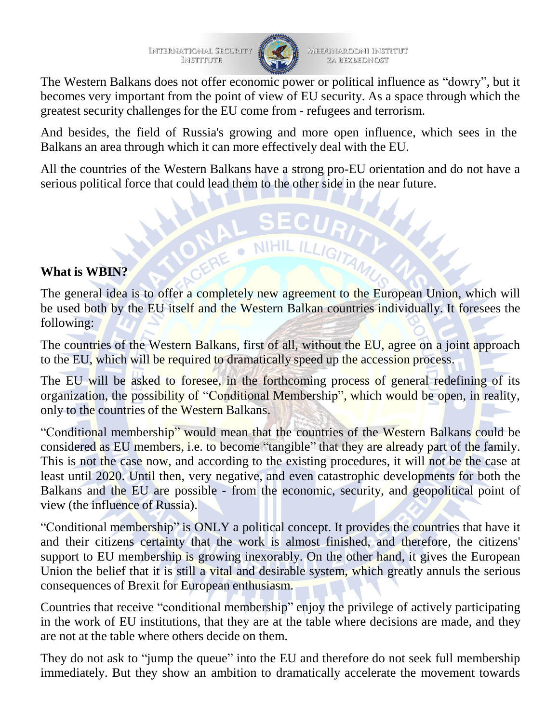

MEĐUNARODNI INSTITUT ZA BEZBEDNOST

The Western Balkans does not offer economic power or political influence as "dowry", but it becomes very important from the point of view of EU security. As a space through which the greatest security challenges for the EU come from - refugees and terrorism.

And besides, the field of Russia's growing and more open influence, which sees in the Balkans an area through which it can more effectively deal with the EU.

All the countries of the Western Balkans have a strong pro-EU orientation and do not have a serious political force that could lead them to the other side in the near future.

# **What is WBIN?**

The general idea is to offer a completely new agreement to the European Union, which will be used both by the EU itself and the Western Balkan countries individually. It foresees the following:

NIHIL ILLIGITA

The countries of the Western Balkans, first of all, without the EU, agree on a joint approach to the EU, which will be required to dramatically speed up the accession process.

The EU will be asked to foresee, in the forthcoming process of general redefining of its organization, the possibility of "Conditional Membership", which would be open, in reality, only to the countries of the Western Balkans.

"Conditional membership" would mean that the countries of the Western Balkans could be considered as EU members, i.e. to become "tangible" that they are already part of the family. This is not the case now, and according to the existing procedures, it will not be the case at least until 2020. Until then, very negative, and even catastrophic developments for both the Balkans and the EU are possible - from the economic, security, and geopolitical point of view (the influence of Russia).

"Conditional membership" is ONLY a political concept. It provides the countries that have it and their citizens certainty that the work is almost finished, and therefore, the citizens' support to EU membership is growing inexorably. On the other hand, it gives the European Union the belief that it is still a vital and desirable system, which greatly annuls the serious consequences of Brexit for European enthusiasm.

Countries that receive "conditional membership" enjoy the privilege of actively participating in the work of EU institutions, that they are at the table where decisions are made, and they are not at the table where others decide on them.

They do not ask to "jump the queue" into the EU and therefore do not seek full membership immediately. But they show an ambition to dramatically accelerate the movement towards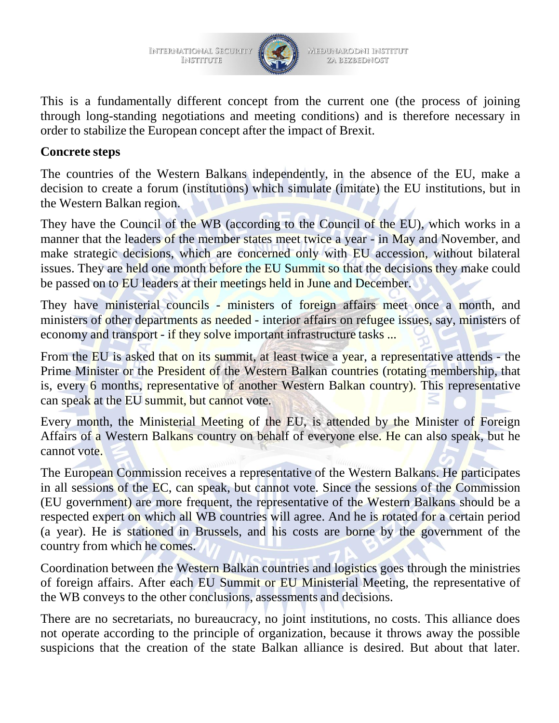INTERNATIONAL SECURITY INSTITUTE



MEĐUNARODNI INSTITUT ZA BEZBEDNOST

This is a fundamentally different concept from the current one (the process of joining through long-standing negotiations and meeting conditions) and is therefore necessary in order to stabilize the European concept after the impact of Brexit.

#### **Concrete steps**

The countries of the Western Balkans independently, in the absence of the EU, make a decision to create a forum (institutions) which simulate (imitate) the EU institutions, but in the Western Balkan region.

They have the Council of the WB (according to the Council of the EU), which works in a manner that the leaders of the member states meet twice a year - in May and November, and make strategic decisions, which are concerned only with EU accession, without bilateral issues. They are held one month before the EU Summit so that the decisions they make could be passed on to EU leaders at their meetings held in June and December.

They have ministerial councils - ministers of foreign affairs meet once a month, and ministers of other departments as needed - interior affairs on refugee issues, say, ministers of economy and transport - if they solve important infrastructure tasks ...

From the EU is asked that on its summit, at least twice a year, a representative attends - the Prime Minister or the President of the Western Balkan countries (rotating membership, that is, every 6 months, representative of another Western Balkan country). This representative can speak at the EU summit, but cannot vote.

Every month, the Ministerial Meeting of the EU, is attended by the Minister of Foreign Affairs of a Western Balkans country on behalf of everyone else. He can also speak, but he cannot vote.

The European Commission receives a representative of the Western Balkans. He participates in all sessions of the EC, can speak, but cannot vote. Since the sessions of the Commission (EU government) are more frequent, the representative of the Western Balkans should be a respected expert on which all WB countries will agree. And he is rotated for a certain period (a year). He is stationed in Brussels, and his costs are borne by the government of the country from which he comes.

Coordination between the Western Balkan countries and logistics goes through the ministries of foreign affairs. After each EU Summit or EU Ministerial Meeting, the representative of the WB conveys to the other conclusions, assessments and decisions.

There are no secretariats, no bureaucracy, no joint institutions, no costs. This alliance does not operate according to the principle of organization, because it throws away the possible suspicions that the creation of the state Balkan alliance is desired. But about that later.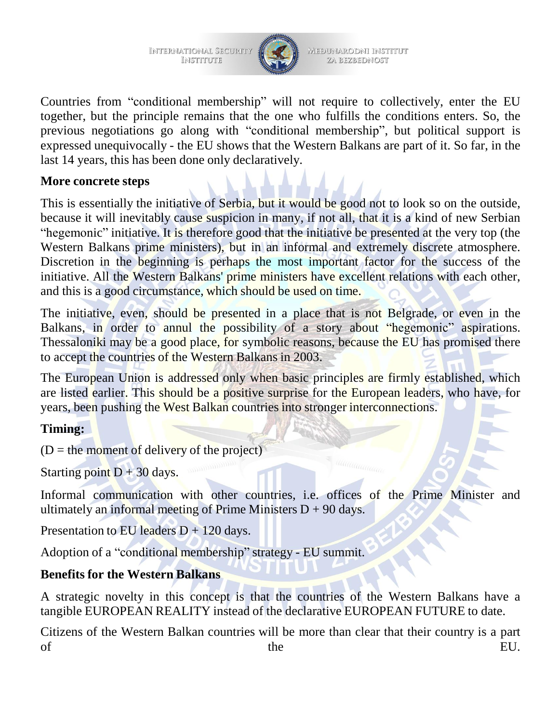INTERNATIONAL SECURITY INSTITUTE



MEĐUNARODNI INSTITUT ZA BEZBEDNOST

Countries from "conditional membership" will not require to collectively, enter the EU together, but the principle remains that the one who fulfills the conditions enters. So, the previous negotiations go along with "conditional membership", but political support is expressed unequivocally - the EU shows that the Western Balkans are part of it. So far, in the last 14 years, this has been done only declaratively.

### **More concrete steps**

This is essentially the initiative of Serbia, but it would be good not to look so on the outside, because it will inevitably cause suspicion in many, if not all, that it is a kind of new Serbian "hegemonic" initiative. It is therefore good that the initiative be presented at the very top (the Western Balkans prime ministers), but in an informal and extremely discrete atmosphere. Discretion in the beginning is perhaps the most important factor for the success of the initiative. All the Western Balkans' prime ministers have excellent relations with each other, and this is a good circumstance, which should be used on time.

The initiative, even, should be presented in a place that is not Belgrade, or even in the Balkans, in order to annul the possibility of a story about "hegemonic" aspirations. Thessaloniki may be a good place, for symbolic reasons, because the EU has promised there to accept the countries of the Western Balkans in 2003.

The European Union is addressed only when basic principles are firmly established, which are listed earlier. This should be a positive surprise for the European leaders, who have, for years, been pushing the West Balkan countries into stronger interconnections.

### **Timing:**

 $(D =$  the moment of delivery of the project)

Starting point  $D + 30$  days.

Informal communication with other countries, i.e. offices of the Prime Minister and ultimately an informal meeting of Prime Ministers  $D + 90$  days.

Presentation to EU leaders  $D + 120$  days.

Adoption of a "conditional membership" strategy - EU summit.

### **Benefits for the Western Balkans**

A strategic novelty in this concept is that the countries of the Western Balkans have a tangible EUROPEAN REALITY instead of the declarative EUROPEAN FUTURE to date.

Citizens of the Western Balkan countries will be more than clear that their country is a part of the EU.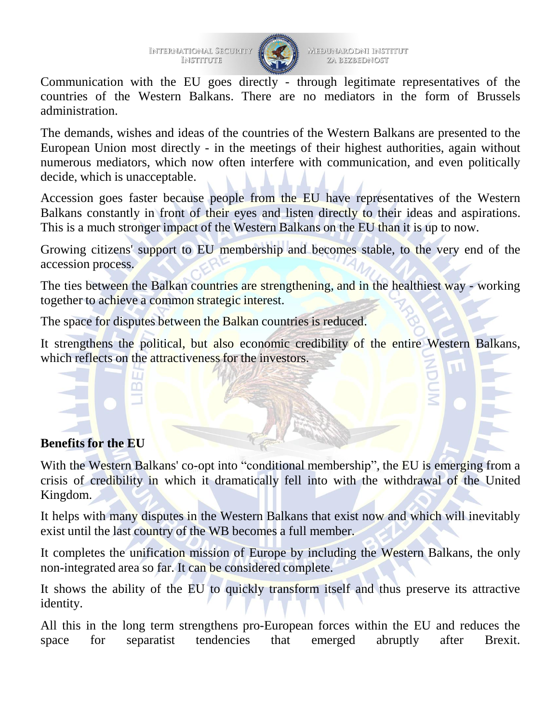

MEĐUNARODNI INSTITUT ZA BEZBEDNOST

Communication with the EU goes directly - through legitimate representatives of the countries of the Western Balkans. There are no mediators in the form of Brussels administration.

The demands, wishes and ideas of the countries of the Western Balkans are presented to the European Union most directly - in the meetings of their highest authorities, again without numerous mediators, which now often interfere with communication, and even politically decide, which is unacceptable.

Accession goes faster because people from the EU have representatives of the Western Balkans constantly in front of their eyes and listen directly to their ideas and aspirations. This is a much stronger impact of the Western Balkans on the EU than it is up to now.

Growing citizens' support to EU membership and becomes stable, to the very end of the accession process.

The ties between the Balkan countries are strengthening, and in the healthiest way - working together to achieve a common strategic interest.

The space for disputes between the Balkan countries is reduced.

It strengthens the political, but also economic credibility of the entire Western Balkans, which reflects on the attractiveness for the investors.

# **Benefits for the EU**

With the Western Balkans' co-opt into "conditional membership", the EU is emerging from a crisis of credibility in which it dramatically fell into with the withdrawal of the United Kingdom.

It helps with many disputes in the Western Balkans that exist now and which will inevitably exist until the last country of the WB becomes a full member.

It completes the unification mission of Europe by including the Western Balkans, the only non-integrated area so far. It can be considered complete.

It shows the ability of the EU to quickly transform itself and thus preserve its attractive identity.

All this in the long term strengthens pro-European forces within the EU and reduces the space for separatist tendencies that emerged abruptly after Brexit.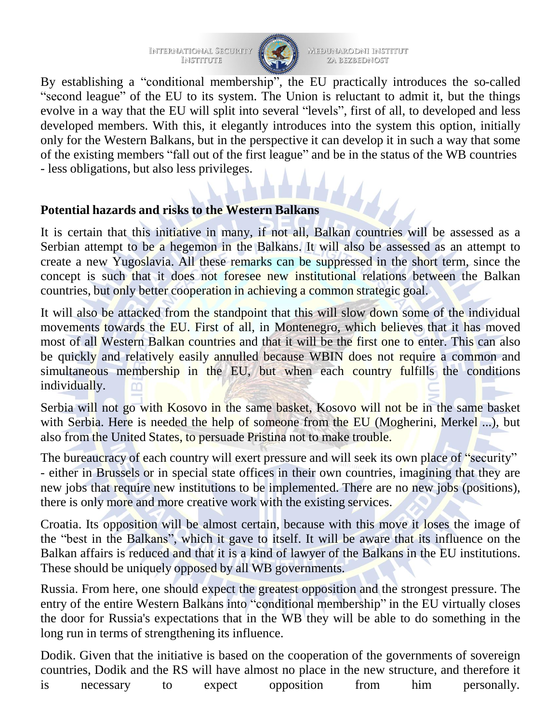International Security<br>Institute



MEĐUNARODNI INSTITUT ZA BEZBEDNOST

By establishing a "conditional membership", the EU practically introduces the so-called "second league" of the EU to its system. The Union is reluctant to admit it, but the things evolve in a way that the EU will split into several "levels", first of all, to developed and less developed members. With this, it elegantly introduces into the system this option, initially only for the Western Balkans, but in the perspective it can develop it in such a way that some of the existing members "fall out of the first league" and be in the status of the WB countries - less obligations, but also less privileges.

#### **Potential hazards and risks to the Western Balkans**

It is certain that this initiative in many, if not all, Balkan countries will be assessed as a Serbian attempt to be a hegemon in the Balkans. It will also be assessed as an attempt to create a new Yugoslavia. All these remarks can be suppressed in the short term, since the concept is such that it does not foresee new institutional relations between the Balkan countries, but only better cooperation in achieving a common strategic goal.

It will also be attacked from the standpoint that this will slow down some of the individual movements towards the EU. First of all, in Montenegro, which believes that it has moved most of all Western Balkan countries and that it will be the first one to enter. This can also be quickly and relatively easily annulled because WBIN does not require a common and simultaneous membership in the EU, but when each country fulfills the conditions individually.

Serbia will not go with Kosovo in the same basket, Kosovo will not be in the same basket with Serbia. Here is needed the help of someone from the EU (Mogherini, Merkel ...), but also from the United States, to persuade Pristina not to make trouble.

The bureaucracy of each country will exert pressure and will seek its own place of "security" - either in Brussels or in special state offices in their own countries, imagining that they are new jobs that require new institutions to be implemented. There are no new jobs (positions), there is only more and more creative work with the existing services.

Croatia. Its opposition will be almost certain, because with this move it loses the image of the "best in the Balkans", which it gave to itself. It will be aware that its influence on the Balkan affairs is reduced and that it is a kind of lawyer of the Balkans in the EU institutions. These should be uniquely opposed by all WB governments.

Russia. From here, one should expect the greatest opposition and the strongest pressure. The entry of the entire Western Balkans into "conditional membership" in the EU virtually closes the door for Russia's expectations that in the WB they will be able to do something in the long run in terms of strengthening its influence.

Dodik. Given that the initiative is based on the cooperation of the governments of sovereign countries, Dodik and the RS will have almost no place in the new structure, and therefore it is necessary to expect opposition from him personally.